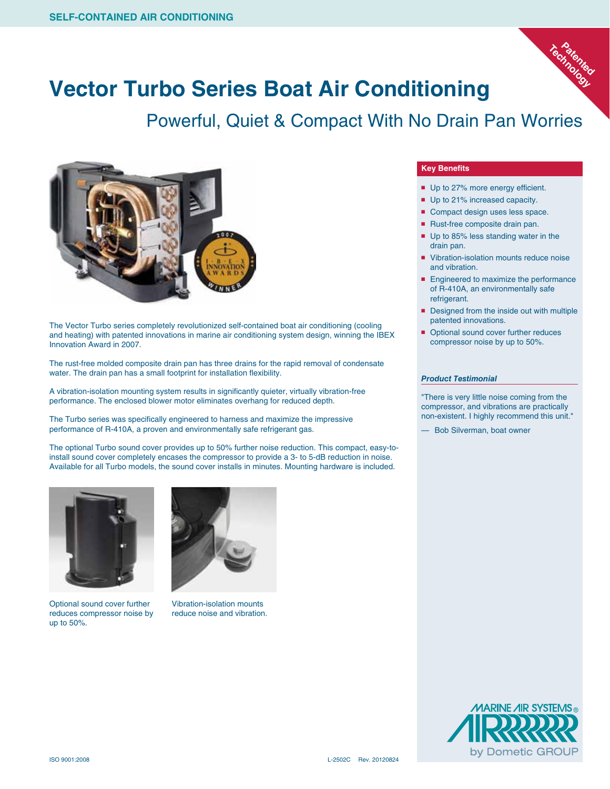

## **Vector Turbo Series Boat Air Conditioning**

Powerful, Quiet & Compact With No Drain Pan Worries



The Vector Turbo series completely revolutionized self-contained boat air conditioning (cooling and heating) with patented innovations in marine air conditioning system design, winning the IBEX Innovation Award in 2007.

The rust-free molded composite drain pan has three drains for the rapid removal of condensate water. The drain pan has a small footprint for installation flexibility.

A vibration-isolation mounting system results in significantly quieter, virtually vibration-free performance. The enclosed blower motor eliminates overhang for reduced depth.

The Turbo series was specifically engineered to harness and maximize the impressive performance of R-410A, a proven and environmentally safe refrigerant gas.

The optional Turbo sound cover provides up to 50% further noise reduction. This compact, easy-toinstall sound cover completely encases the compressor to provide a 3- to 5-dB reduction in noise. Available for all Turbo models, the sound cover installs in minutes. Mounting hardware is included.



Optional sound cover further reduces compressor noise by up to 50%.



Vibration-isolation mounts reduce noise and vibration.

## **Key Benefits**

- Up to 27% more energy efficient.
- Up to 21% increased capacity.
- Compact design uses less space.
- Rust-free composite drain pan.
- Up to 85% less standing water in the drain pan.
- Vibration-isolation mounts reduce noise and vibration.
- Engineered to maximize the performance of R-410A, an environmentally safe refrigerant.
- Designed from the inside out with multiple patented innovations.
- Optional sound cover further reduces compressor noise by up to 50%.

## *Product Testimonial*

"There is very little noise coming from the compressor, and vibrations are practically non-existent. I highly recommend this unit."

— Bob Silverman, boat owner